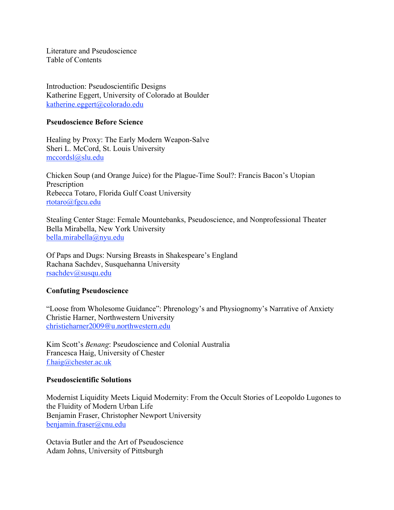Literature and Pseudoscience Table of Contents

Introduction: Pseudoscientific Designs Katherine Eggert, University of Colorado at Boulder katherine.eggert@colorado.edu

# **Pseudoscience Before Science**

Healing by Proxy: The Early Modern Weapon-Salve Sheri L. McCord, St. Louis University mccordsl@slu.edu

Chicken Soup (and Orange Juice) for the Plague-Time Soul?: Francis Bacon's Utopian Prescription Rebecca Totaro, Florida Gulf Coast University rtotaro@fgcu.edu

Stealing Center Stage: Female Mountebanks, Pseudoscience, and Nonprofessional Theater Bella Mirabella, New York University bella.mirabella@nyu.edu

Of Paps and Dugs: Nursing Breasts in Shakespeare's England Rachana Sachdev, Susquehanna University rsachdev@susqu.edu

## **Confuting Pseudoscience**

"Loose from Wholesome Guidance": Phrenology's and Physiognomy's Narrative of Anxiety Christie Harner, Northwestern University christieharner2009@u.northwestern.edu

Kim Scott's *Benang*: Pseudoscience and Colonial Australia Francesca Haig, University of Chester f.haig@chester.ac.uk

## **Pseudoscientific Solutions**

Modernist Liquidity Meets Liquid Modernity: From the Occult Stories of Leopoldo Lugones to the Fluidity of Modern Urban Life Benjamin Fraser, Christopher Newport University benjamin.fraser@cnu.edu

Octavia Butler and the Art of Pseudoscience Adam Johns, University of Pittsburgh